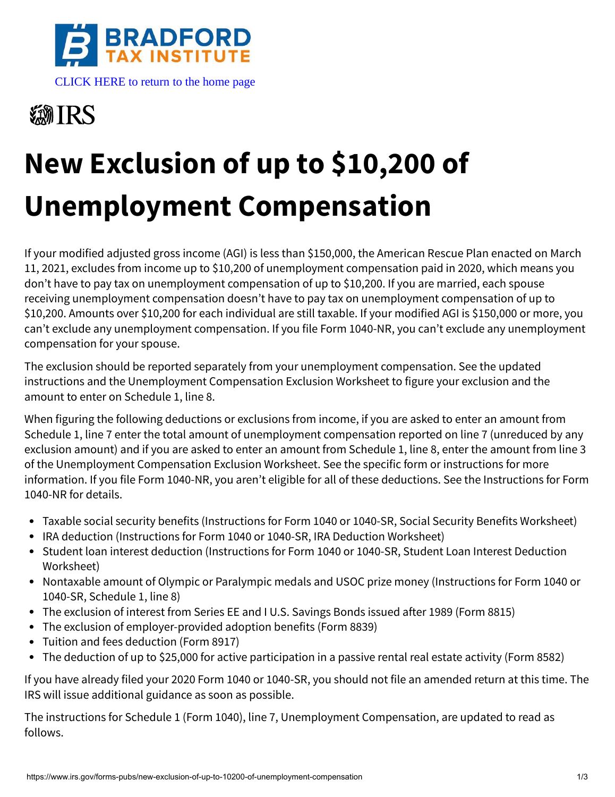

[CLICK HERE to return to the home page](https://www.bradfordtaxinstitute.com) 

## **※新IRS**

# **New Exclusion of up to \$10,200 of Unemployment Compensation**

If your modified adjusted gross income (AGI) is less than \$150,000, the American Rescue Plan enacted on March 11, 2021, excludes from income up to \$10,200 of unemployment compensation paid in 2020, which means you don't have to pay tax on unemployment compensation of up to \$10,200. If you are married, each spouse receiving unemployment compensation doesn't have to pay tax on unemployment compensation of up to \$10,200. Amounts over \$10,200 for each individual are still taxable. If your modified AGI is \$150,000 or more, you can't exclude any unemployment compensation. If you file Form 1040-NR, you can't exclude any unemployment compensation for your spouse.

The exclusion should be reported separately from your unemployment compensation. See the updated instructions and the Unemployment Compensation Exclusion Worksheet to figure your exclusion and the amount to enter on Schedule 1, line 8.

When figuring the following deductions or exclusions from income, if you are asked to enter an amount from Schedule 1, line 7 enter the total amount of unemployment compensation reported on line 7 (unreduced by any exclusion amount) and if you are asked to enter an amount from Schedule 1, line 8, enter the amount from line 3 of the Unemployment Compensation Exclusion Worksheet. See the specific form or instructions for more information. If you file Form 1040-NR, you aren't eligible for all of these deductions. See the Instructions for Form 1040-NR for details.

- Taxable social security benefits (Instructions for Form 1040 or 1040-SR, Social Security Benefits Worksheet)
- IRA deduction (Instructions for Form 1040 or 1040-SR, IRA Deduction Worksheet)
- Student loan interest deduction (Instructions for Form 1040 or 1040-SR, Student Loan Interest Deduction Worksheet)
- Nontaxable amount of Olympic or Paralympic medals and USOC prize money (Instructions for Form 1040 or 1040-SR, Schedule 1, line 8)
- The exclusion of interest from Series EE and I U.S. Savings Bonds issued after 1989 (Form 8815)
- The exclusion of employer-provided adoption benefits (Form 8839)
- Tuition and fees deduction (Form 8917)
- $\bullet$ The deduction of up to \$25,000 for active participation in a passive rental real estate activity (Form 8582)

If you have already filed your 2020 Form 1040 or 1040-SR, you should not file an amended return at this time. The IRS will issue additional guidance as soon as possible.

The instructions for Schedule 1 (Form 1040), line 7, Unemployment Compensation, are updated to read as follows.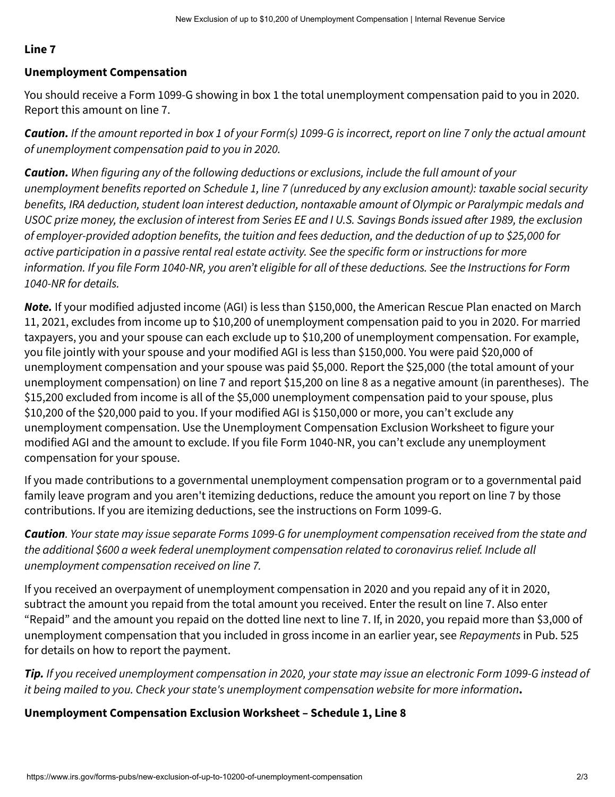#### **Line 7**

#### **Unemployment Compensation**

You should receive a Form 1099-G showing in box 1 the total unemployment compensation paid to you in 2020. Report this amount on line 7.

**Caution.** If the amount reported in box 1 of your Form(s) 1099-G is incorrect, report on line 7 only the actual amount of unemployment compensation paid to you in 2020.

**Caution.** When figuring any of the following deductions or exclusions, include the full amount of your unemployment benefits reported on Schedule 1, line 7 (unreduced by any exclusion amount): taxable social security benefits, IRA deduction, student loan interest deduction, nontaxable amount of Olympic or Paralympic medals and USOC prize money, the exclusion of interest from Series EE and I U.S. Savings Bonds issued after 1989, the exclusion of employer-provided adoption benefits, the tuition and fees deduction, and the deduction of up to \$25,000 for active participation in a passive rental real estate activity. See the specific form or instructions for more information. If you file Form 1040-NR, you aren't eligible for all of these deductions. See the Instructions for Form 1040-NR for details.

**Note.** If your modified adjusted income (AGI) is less than \$150,000, the American Rescue Plan enacted on March 11, 2021, excludes from income up to \$10,200 of unemployment compensation paid to you in 2020. For married taxpayers, you and your spouse can each exclude up to \$10,200 of unemployment compensation. For example, you file jointly with your spouse and your modified AGI is less than \$150,000. You were paid \$20,000 of unemployment compensation and your spouse was paid \$5,000. Report the \$25,000 (the total amount of your unemployment compensation) on line 7 and report \$15,200 on line 8 as a negative amount (in parentheses). The \$15,200 excluded from income is all of the \$5,000 unemployment compensation paid to your spouse, plus \$10,200 of the \$20,000 paid to you. If your modified AGI is \$150,000 or more, you can't exclude any unemployment compensation. Use the Unemployment Compensation Exclusion Worksheet to figure your modified AGI and the amount to exclude. If you file Form 1040-NR, you can't exclude any unemployment compensation for your spouse.

If you made contributions to a governmental unemployment compensation program or to a governmental paid family leave program and you aren't itemizing deductions, reduce the amount you report on line 7 by those contributions. If you are itemizing deductions, see the instructions on Form 1099-G.

**Caution**. Your state may issue separate Forms 1099-G for unemployment compensation received from the state and the additional \$600 a week federal unemployment compensation related to coronavirus relief. Include all unemployment compensation received on line 7.

If you received an overpayment of unemployment compensation in 2020 and you repaid any of it in 2020, subtract the amount you repaid from the total amount you received. Enter the result on line 7. Also enter "Repaid" and the amount you repaid on the dotted line next to line 7. If, in 2020, you repaid more than \$3,000 of unemployment compensation that you included in gross income in an earlier year, see Repayments in Pub. 525 for details on how to report the payment.

**Tip.** If you received unemployment compensation in 2020, your state may issue an electronic Form 1099-G instead of it being mailed to you. Check your state's unemployment compensation website for more information**.**

### **Unemployment Compensation Exclusion Worksheet – Schedule 1, Line 8**